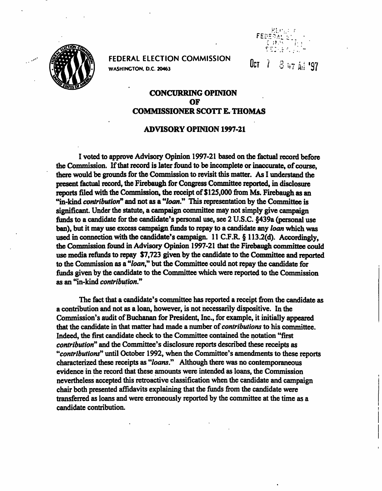

FEDERAL ELECTION COMMISSION  $\int_{\mathbb{R}^7}$ WASHINGTON. D.C. 20463



 $3 + 11$  '97

## CONCURRING OPINION OF COMMISSIONER SCOTT E. THOMAS

## ADVISORY OPINION 1997-21

I voted to approve Advisory Opinion 1997-21 based on the factual record before the Commission. If that record is later found to be incomplete or inaccurate, of course, there would be grounds for the Commission to revisit this matter. As I understand the present factual record, the Firebaugh for Congress Committee reported, in disclosure reports filed with the Commission, the receipt of \$125,000 from Ms. Firebaugh as an "in-kind contribution" and not as a "loan." This representation by the Committee is significant. Under the statute, a campaign committee may not simply give campaign funds to a candidate for the candidate's personal use, see 2 U.S.C. §439a (personal use ban), but it may use excess campaign funds to repay to a candidate any *loan* which was used in connection with the candidate's campaign.  $11$  C.F.R. § 113.2(d). Accordingly, the Commission found in Advisory Opinion 1997-21 that the Firebaugh committee could use media refunds to repay \$7,723 given by the candidate to the Committee and reported to the Commission as a "loan" but the Committee could not repay the candidate for funds given by the candidate to the Committee which were reported to the Commission as an "in-kind contribution."

The fact that a candidate's committee has reported a receipt from the candidate as a contribution and not as a loan, however, is not necessarily dispositive. In the Commission's audit of Buchanan for President, Inc., for example, it initially appeared that the candidate in that matter had made a number of contributions to his committee. Indeed, the first candidate check to the Committee contained the notation "first contribution" and the Committee's disclosure reports described these receipts as "contributions" until October 1992, when the Committee's amendments to these reports characterized these receipts as "loans." Although there was no contemporaneous evidence in the record that these amounts were intended as loans, the Commission nevertheless accepted this retroactive classification when the candidate and campaign chair both presented affidavits explaining that the funds from the candidate were transferred as loans and were erroneously reported by the committee at the time as a candidate contribution.